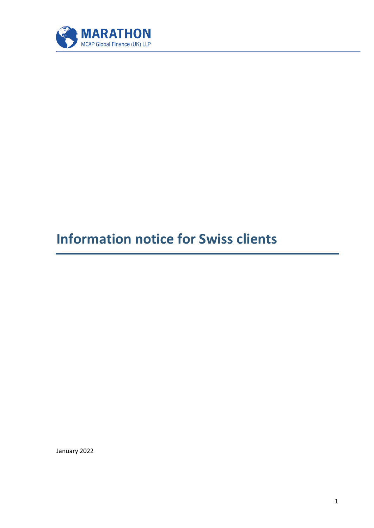

## **Information notice for Swiss clients**

January 2022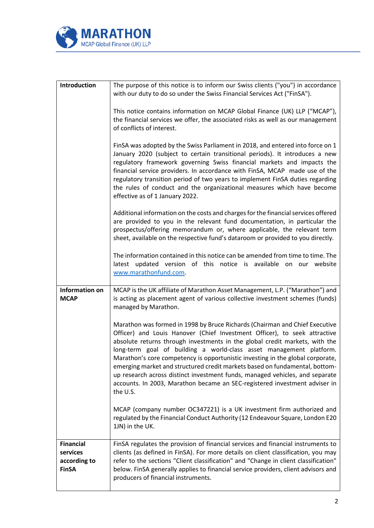

| Introduction                                                 | The purpose of this notice is to inform our Swiss clients ("you") in accordance                                                                                                                                                                                                                                                                                                                                                                                                                                                                                                                                                                           |
|--------------------------------------------------------------|-----------------------------------------------------------------------------------------------------------------------------------------------------------------------------------------------------------------------------------------------------------------------------------------------------------------------------------------------------------------------------------------------------------------------------------------------------------------------------------------------------------------------------------------------------------------------------------------------------------------------------------------------------------|
|                                                              | with our duty to do so under the Swiss Financial Services Act ("FinSA").                                                                                                                                                                                                                                                                                                                                                                                                                                                                                                                                                                                  |
|                                                              |                                                                                                                                                                                                                                                                                                                                                                                                                                                                                                                                                                                                                                                           |
|                                                              | This notice contains information on MCAP Global Finance (UK) LLP ("MCAP"),                                                                                                                                                                                                                                                                                                                                                                                                                                                                                                                                                                                |
|                                                              | the financial services we offer, the associated risks as well as our management                                                                                                                                                                                                                                                                                                                                                                                                                                                                                                                                                                           |
|                                                              | of conflicts of interest.                                                                                                                                                                                                                                                                                                                                                                                                                                                                                                                                                                                                                                 |
|                                                              | FinSA was adopted by the Swiss Parliament in 2018, and entered into force on 1<br>January 2020 (subject to certain transitional periods). It introduces a new<br>regulatory framework governing Swiss financial markets and impacts the<br>financial service providers. In accordance with FinSA, MCAP made use of the<br>regulatory transition period of two years to implement FinSA duties regarding<br>the rules of conduct and the organizational measures which have become<br>effective as of 1 January 2022.                                                                                                                                      |
|                                                              | Additional information on the costs and charges for the financial services offered                                                                                                                                                                                                                                                                                                                                                                                                                                                                                                                                                                        |
|                                                              | are provided to you in the relevant fund documentation, in particular the                                                                                                                                                                                                                                                                                                                                                                                                                                                                                                                                                                                 |
|                                                              | prospectus/offering memorandum or, where applicable, the relevant term                                                                                                                                                                                                                                                                                                                                                                                                                                                                                                                                                                                    |
|                                                              | sheet, available on the respective fund's dataroom or provided to you directly.                                                                                                                                                                                                                                                                                                                                                                                                                                                                                                                                                                           |
|                                                              | The information contained in this notice can be amended from time to time. The<br>latest updated version of this notice is available on our website<br>www.marathonfund.com.                                                                                                                                                                                                                                                                                                                                                                                                                                                                              |
| <b>Information on</b>                                        | MCAP is the UK affiliate of Marathon Asset Management, L.P. ("Marathon") and                                                                                                                                                                                                                                                                                                                                                                                                                                                                                                                                                                              |
| <b>MCAP</b>                                                  | is acting as placement agent of various collective investment schemes (funds)                                                                                                                                                                                                                                                                                                                                                                                                                                                                                                                                                                             |
|                                                              | managed by Marathon.                                                                                                                                                                                                                                                                                                                                                                                                                                                                                                                                                                                                                                      |
|                                                              |                                                                                                                                                                                                                                                                                                                                                                                                                                                                                                                                                                                                                                                           |
|                                                              | Marathon was formed in 1998 by Bruce Richards (Chairman and Chief Executive<br>Officer) and Louis Hanover (Chief Investment Officer), to seek attractive<br>absolute returns through investments in the global credit markets, with the<br>long-term goal of building a world-class asset management platform.<br>Marathon's core competency is opportunistic investing in the global corporate,<br>emerging market and structured credit markets based on fundamental, bottom-<br>up research across distinct investment funds, managed vehicles, and separate<br>accounts. In 2003, Marathon became an SEC-registered investment adviser in<br>the U.S. |
|                                                              | MCAP (company number OC347221) is a UK investment firm authorized and<br>regulated by the Financial Conduct Authority (12 Endeavour Square, London E20<br>1JN) in the UK.                                                                                                                                                                                                                                                                                                                                                                                                                                                                                 |
| <b>Financial</b><br>services<br>according to<br><b>FinSA</b> | FinSA regulates the provision of financial services and financial instruments to<br>clients (as defined in FinSA). For more details on client classification, you may<br>refer to the sections "Client classification" and "Change in client classification"<br>below. FinSA generally applies to financial service providers, client advisors and<br>producers of financial instruments.                                                                                                                                                                                                                                                                 |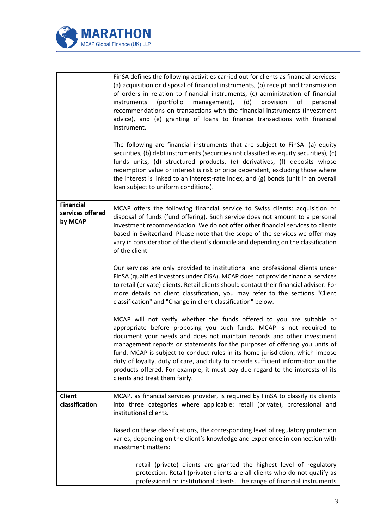

|                                                 | FinSA defines the following activities carried out for clients as financial services:<br>(a) acquisition or disposal of financial instruments, (b) receipt and transmission<br>of orders in relation to financial instruments, (c) administration of financial<br>(portfolio<br>management),<br>(d)<br>instruments<br>provision<br>οf<br>personal<br>recommendations on transactions with the financial instruments (investment<br>advice), and (e) granting of loans to finance transactions with financial<br>instrument.<br>The following are financial instruments that are subject to FinSA: (a) equity<br>securities, (b) debt instruments (securities not classified as equity securities), (c)<br>funds units, (d) structured products, (e) derivatives, (f) deposits whose<br>redemption value or interest is risk or price dependent, excluding those where<br>the interest is linked to an interest-rate index, and (g) bonds (unit in an overall<br>loan subject to uniform conditions). |
|-------------------------------------------------|------------------------------------------------------------------------------------------------------------------------------------------------------------------------------------------------------------------------------------------------------------------------------------------------------------------------------------------------------------------------------------------------------------------------------------------------------------------------------------------------------------------------------------------------------------------------------------------------------------------------------------------------------------------------------------------------------------------------------------------------------------------------------------------------------------------------------------------------------------------------------------------------------------------------------------------------------------------------------------------------------|
| <b>Financial</b><br>services offered<br>by MCAP | MCAP offers the following financial service to Swiss clients: acquisition or<br>disposal of funds (fund offering). Such service does not amount to a personal<br>investment recommendation. We do not offer other financial services to clients<br>based in Switzerland. Please note that the scope of the services we offer may<br>vary in consideration of the client's domicile and depending on the classification<br>of the client.                                                                                                                                                                                                                                                                                                                                                                                                                                                                                                                                                             |
|                                                 | Our services are only provided to institutional and professional clients under<br>FinSA (qualified investors under CISA). MCAP does not provide financial services<br>to retail (private) clients. Retail clients should contact their financial adviser. For<br>more details on client classification, you may refer to the sections "Client<br>classification" and "Change in client classification" below.                                                                                                                                                                                                                                                                                                                                                                                                                                                                                                                                                                                        |
|                                                 | MCAP will not verify whether the funds offered to you are suitable or<br>appropriate before proposing you such funds. MCAP is not required to<br>document your needs and does not maintain records and other investment<br>management reports or statements for the purposes of offering you units of<br>fund. MCAP is subject to conduct rules in its home jurisdiction, which impose<br>duty of loyalty, duty of care, and duty to provide sufficient information on the<br>products offered. For example, it must pay due regard to the interests of its<br>clients and treat them fairly.                                                                                                                                                                                                                                                                                                                                                                                                        |
| <b>Client</b><br>classification                 | MCAP, as financial services provider, is required by FinSA to classify its clients<br>into three categories where applicable: retail (private), professional and<br>institutional clients.                                                                                                                                                                                                                                                                                                                                                                                                                                                                                                                                                                                                                                                                                                                                                                                                           |
|                                                 | Based on these classifications, the corresponding level of regulatory protection<br>varies, depending on the client's knowledge and experience in connection with<br>investment matters:                                                                                                                                                                                                                                                                                                                                                                                                                                                                                                                                                                                                                                                                                                                                                                                                             |
|                                                 | retail (private) clients are granted the highest level of regulatory<br>protection. Retail (private) clients are all clients who do not qualify as<br>professional or institutional clients. The range of financial instruments                                                                                                                                                                                                                                                                                                                                                                                                                                                                                                                                                                                                                                                                                                                                                                      |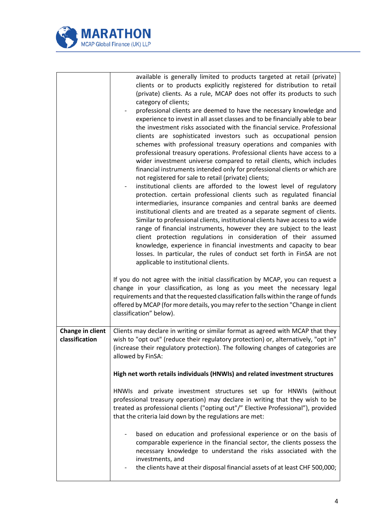

|                                    | available is generally limited to products targeted at retail (private)<br>clients or to products explicitly registered for distribution to retail<br>(private) clients. As a rule, MCAP does not offer its products to such<br>category of clients;<br>professional clients are deemed to have the necessary knowledge and<br>experience to invest in all asset classes and to be financially able to bear<br>the investment risks associated with the financial service. Professional<br>clients are sophisticated investors such as occupational pension<br>schemes with professional treasury operations and companies with<br>professional treasury operations. Professional clients have access to a<br>wider investment universe compared to retail clients, which includes<br>financial instruments intended only for professional clients or which are<br>not registered for sale to retail (private) clients;<br>institutional clients are afforded to the lowest level of regulatory<br>protection. certain professional clients such as regulated financial<br>intermediaries, insurance companies and central banks are deemed<br>institutional clients and are treated as a separate segment of clients.<br>Similar to professional clients, institutional clients have access to a wide<br>range of financial instruments, however they are subject to the least<br>client protection regulations in consideration of their assumed<br>knowledge, experience in financial investments and capacity to bear<br>losses. In particular, the rules of conduct set forth in FinSA are not<br>applicable to institutional clients.<br>If you do not agree with the initial classification by MCAP, you can request a<br>change in your classification, as long as you meet the necessary legal<br>requirements and that the requested classification falls within the range of funds<br>offered by MCAP (for more details, you may refer to the section "Change in client<br>classification" below). |
|------------------------------------|---------------------------------------------------------------------------------------------------------------------------------------------------------------------------------------------------------------------------------------------------------------------------------------------------------------------------------------------------------------------------------------------------------------------------------------------------------------------------------------------------------------------------------------------------------------------------------------------------------------------------------------------------------------------------------------------------------------------------------------------------------------------------------------------------------------------------------------------------------------------------------------------------------------------------------------------------------------------------------------------------------------------------------------------------------------------------------------------------------------------------------------------------------------------------------------------------------------------------------------------------------------------------------------------------------------------------------------------------------------------------------------------------------------------------------------------------------------------------------------------------------------------------------------------------------------------------------------------------------------------------------------------------------------------------------------------------------------------------------------------------------------------------------------------------------------------------------------------------------------------------------------------------------------------------------------------------------------------------------------------------------------|
| Change in client<br>classification | Clients may declare in writing or similar format as agreed with MCAP that they<br>wish to "opt out" (reduce their regulatory protection) or, alternatively, "opt in"<br>(increase their regulatory protection). The following changes of categories are<br>allowed by FinSA:<br>High net worth retails individuals (HNWIs) and related investment structures<br>HNWIs and private investment structures set up for HNWIs (without<br>professional treasury operation) may declare in writing that they wish to be<br>treated as professional clients ("opting out"/" Elective Professional"), provided<br>that the criteria laid down by the regulations are met:<br>based on education and professional experience or on the basis of<br>comparable experience in the financial sector, the clients possess the                                                                                                                                                                                                                                                                                                                                                                                                                                                                                                                                                                                                                                                                                                                                                                                                                                                                                                                                                                                                                                                                                                                                                                                              |
|                                    | necessary knowledge to understand the risks associated with the<br>investments, and<br>the clients have at their disposal financial assets of at least CHF 500,000;                                                                                                                                                                                                                                                                                                                                                                                                                                                                                                                                                                                                                                                                                                                                                                                                                                                                                                                                                                                                                                                                                                                                                                                                                                                                                                                                                                                                                                                                                                                                                                                                                                                                                                                                                                                                                                           |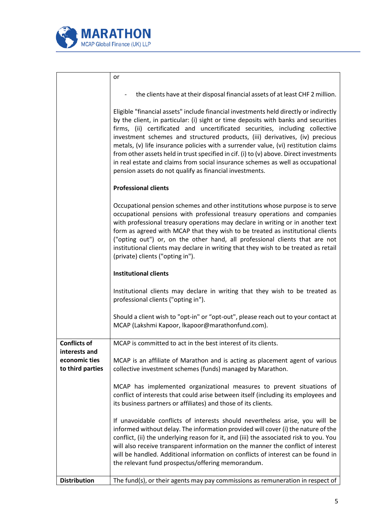

|                                                    | or                                                                                                                                                                                                                                                                                                                                                                                                                                                                                                                                                                                                                                                                         |
|----------------------------------------------------|----------------------------------------------------------------------------------------------------------------------------------------------------------------------------------------------------------------------------------------------------------------------------------------------------------------------------------------------------------------------------------------------------------------------------------------------------------------------------------------------------------------------------------------------------------------------------------------------------------------------------------------------------------------------------|
|                                                    | the clients have at their disposal financial assets of at least CHF 2 million.                                                                                                                                                                                                                                                                                                                                                                                                                                                                                                                                                                                             |
|                                                    | Eligible "financial assets" include financial investments held directly or indirectly<br>by the client, in particular: (i) sight or time deposits with banks and securities<br>firms, (ii) certificated and uncertificated securities, including collective<br>investment schemes and structured products, (iii) derivatives, (iv) precious<br>metals, (v) life insurance policies with a surrender value, (vi) restitution claims<br>from other assets held in trust specified in cif. (i) to (v) above. Direct investments<br>in real estate and claims from social insurance schemes as well as occupational<br>pension assets do not qualify as financial investments. |
|                                                    | <b>Professional clients</b>                                                                                                                                                                                                                                                                                                                                                                                                                                                                                                                                                                                                                                                |
|                                                    | Occupational pension schemes and other institutions whose purpose is to serve<br>occupational pensions with professional treasury operations and companies<br>with professional treasury operations may declare in writing or in another text<br>form as agreed with MCAP that they wish to be treated as institutional clients<br>("opting out") or, on the other hand, all professional clients that are not<br>institutional clients may declare in writing that they wish to be treated as retail<br>(private) clients ("opting in").                                                                                                                                  |
|                                                    | <b>Institutional clients</b>                                                                                                                                                                                                                                                                                                                                                                                                                                                                                                                                                                                                                                               |
|                                                    | Institutional clients may declare in writing that they wish to be treated as<br>professional clients ("opting in").                                                                                                                                                                                                                                                                                                                                                                                                                                                                                                                                                        |
|                                                    | Should a client wish to "opt-in" or "opt-out", please reach out to your contact at<br>MCAP (Lakshmi Kapoor, lkapoor@marathonfund.com).                                                                                                                                                                                                                                                                                                                                                                                                                                                                                                                                     |
| <b>Conflicts of</b>                                | MCAP is committed to act in the best interest of its clients.                                                                                                                                                                                                                                                                                                                                                                                                                                                                                                                                                                                                              |
| interests and<br>economic ties<br>to third parties | MCAP is an affiliate of Marathon and is acting as placement agent of various<br>collective investment schemes (funds) managed by Marathon.                                                                                                                                                                                                                                                                                                                                                                                                                                                                                                                                 |
|                                                    | MCAP has implemented organizational measures to prevent situations of<br>conflict of interests that could arise between itself (including its employees and<br>its business partners or affiliates) and those of its clients.                                                                                                                                                                                                                                                                                                                                                                                                                                              |
|                                                    | If unavoidable conflicts of interests should nevertheless arise, you will be<br>informed without delay. The information provided will cover (i) the nature of the<br>conflict, (ii) the underlying reason for it, and (iii) the associated risk to you. You<br>will also receive transparent information on the manner the conflict of interest<br>will be handled. Additional information on conflicts of interest can be found in<br>the relevant fund prospectus/offering memorandum.                                                                                                                                                                                   |
| <b>Distribution</b>                                | The fund(s), or their agents may pay commissions as remuneration in respect of                                                                                                                                                                                                                                                                                                                                                                                                                                                                                                                                                                                             |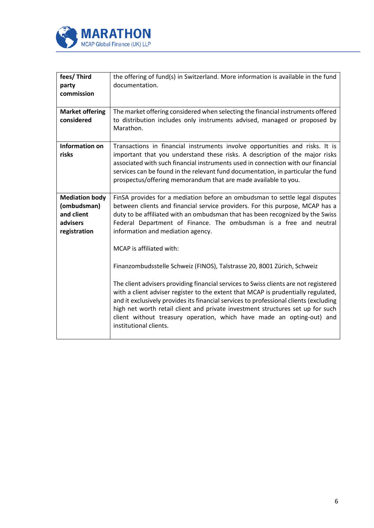

| fees/Third<br>party<br>commission                                              | the offering of fund(s) in Switzerland. More information is available in the fund<br>documentation.                                                                                                                                                                                                                                                                                                                                                                                                                                                            |
|--------------------------------------------------------------------------------|----------------------------------------------------------------------------------------------------------------------------------------------------------------------------------------------------------------------------------------------------------------------------------------------------------------------------------------------------------------------------------------------------------------------------------------------------------------------------------------------------------------------------------------------------------------|
| <b>Market offering</b><br>considered                                           | The market offering considered when selecting the financial instruments offered<br>to distribution includes only instruments advised, managed or proposed by<br>Marathon.                                                                                                                                                                                                                                                                                                                                                                                      |
| <b>Information on</b><br>risks                                                 | Transactions in financial instruments involve opportunities and risks. It is<br>important that you understand these risks. A description of the major risks<br>associated with such financial instruments used in connection with our financial<br>services can be found in the relevant fund documentation, in particular the fund<br>prospectus/offering memorandum that are made available to you.                                                                                                                                                          |
| <b>Mediation body</b><br>(ombudsman)<br>and client<br>advisers<br>registration | FinSA provides for a mediation before an ombudsman to settle legal disputes<br>between clients and financial service providers. For this purpose, MCAP has a<br>duty to be affiliated with an ombudsman that has been recognized by the Swiss<br>Federal Department of Finance. The ombudsman is a free and neutral<br>information and mediation agency.                                                                                                                                                                                                       |
|                                                                                | MCAP is affiliated with:<br>Finanzombudsstelle Schweiz (FINOS), Talstrasse 20, 8001 Zürich, Schweiz<br>The client advisers providing financial services to Swiss clients are not registered<br>with a client adviser register to the extent that MCAP is prudentially regulated,<br>and it exclusively provides its financial services to professional clients (excluding<br>high net worth retail client and private investment structures set up for such<br>client without treasury operation, which have made an opting-out) and<br>institutional clients. |